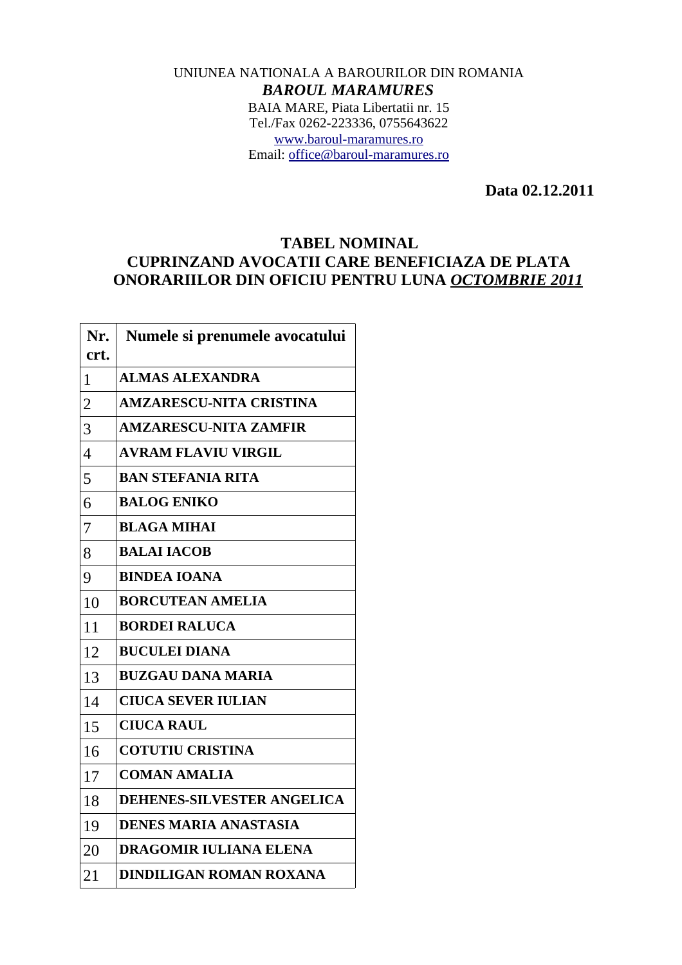## UNIUNEA NATIONALA A BAROURILOR DIN ROMANIA *BAROUL MARAMURES* BAIA MARE, Piata Libertatii nr. 15 Tel./Fax 0262-223336, 0755643622 [www.baroul-maramures.ro](http://www.baroul-maramures.ro/) Email: [office@baroul-maramures.ro](mailto:office@baroul-maramures.ro)

 **Data 02.12.2011**

## **TABEL NOMINAL CUPRINZAND AVOCATII CARE BENEFICIAZA DE PLATA ONORARIILOR DIN OFICIU PENTRU LUNA** *OCTOMBRIE 2011*

| Nr.<br>crt.    | Numele si prenumele avocatului    |
|----------------|-----------------------------------|
| 1              | <b>ALMAS ALEXANDRA</b>            |
| $\overline{2}$ | <b>AMZARESCU-NITA CRISTINA</b>    |
| 3              | <b>AMZARESCU-NITA ZAMFIR</b>      |
| $\overline{4}$ | <b>AVRAM FLAVIU VIRGIL</b>        |
| 5              | <b>BAN STEFANIA RITA</b>          |
| 6              | <b>BALOG ENIKO</b>                |
| 7              | <b>BLAGA MIHAI</b>                |
| 8              | <b>BALAI IACOB</b>                |
| 9              | <b>BINDEA IOANA</b>               |
| 10             | <b>BORCUTEAN AMELIA</b>           |
| 11             | <b>BORDEI RALUCA</b>              |
| 12             | <b>BUCULEI DIANA</b>              |
| 13             | <b>BUZGAU DANA MARIA</b>          |
| 14             | <b>CIUCA SEVER IULIAN</b>         |
| 15             | <b>CIUCA RAUL</b>                 |
| 16             | <b>COTUTIU CRISTINA</b>           |
| 17             | <b>COMAN AMALIA</b>               |
| 18             | <b>DEHENES-SILVESTER ANGELICA</b> |
| 19             | <b>DENES MARIA ANASTASIA</b>      |
| 20             | <b>DRAGOMIR IULIANA ELENA</b>     |
| 21             | <b>DINDILIGAN ROMAN ROXANA</b>    |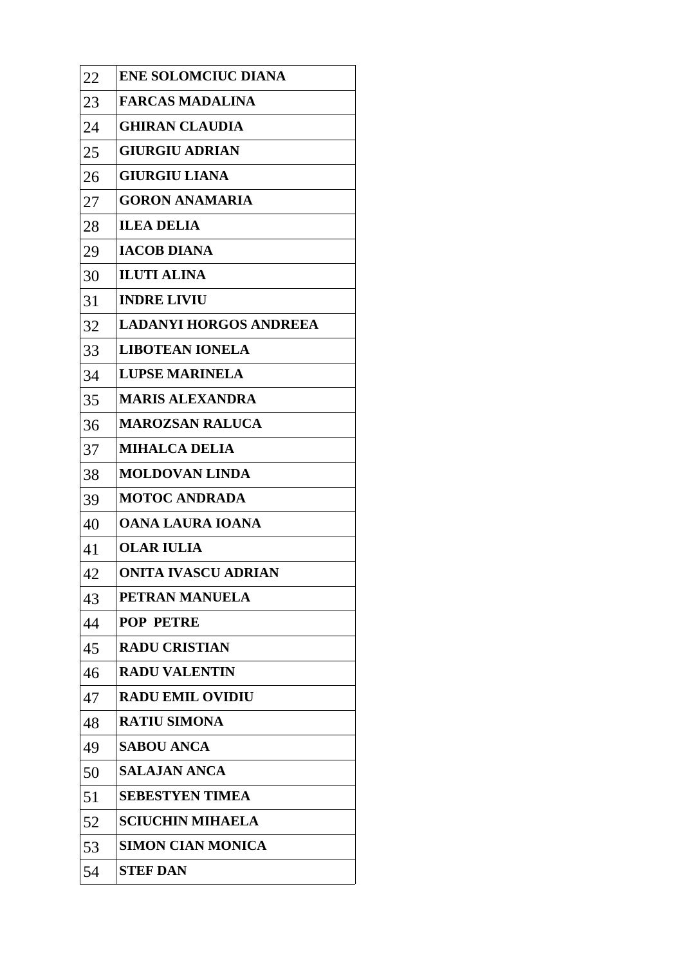| 22 | <b>ENE SOLOMCIUC DIANA</b>    |
|----|-------------------------------|
| 23 | <b>FARCAS MADALINA</b>        |
| 24 | <b>GHIRAN CLAUDIA</b>         |
| 25 | <b>GIURGIU ADRIAN</b>         |
| 26 | <b>GIURGIU LIANA</b>          |
| 27 | <b>GORON ANAMARIA</b>         |
| 28 | <b>ILEA DELIA</b>             |
| 29 | <b>IACOB DIANA</b>            |
| 30 | <b>ILUTI ALINA</b>            |
| 31 | <b>INDRE LIVIU</b>            |
| 32 | <b>LADANYI HORGOS ANDREEA</b> |
| 33 | <b>LIBOTEAN IONELA</b>        |
| 34 | <b>LUPSE MARINELA</b>         |
| 35 | <b>MARIS ALEXANDRA</b>        |
| 36 | <b>MAROZSAN RALUCA</b>        |
| 37 | <b>MIHALCA DELIA</b>          |
| 38 | <b>MOLDOVAN LINDA</b>         |
| 39 | <b>MOTOC ANDRADA</b>          |
| 40 | OANA LAURA IOANA              |
| 41 | <b>OLAR IULIA</b>             |
| 42 | <b>ONITA IVASCU ADRIAN</b>    |
| 43 | PETRAN MANUELA                |
| 44 | <b>POP PETRE</b>              |
| 45 | <b>RADU CRISTIAN</b>          |
| 46 | <b>RADU VALENTIN</b>          |
| 47 | <b>RADU EMIL OVIDIU</b>       |
| 48 | <b>RATIU SIMONA</b>           |
| 49 | <b>SABOU ANCA</b>             |
| 50 | SALAJAN ANCA                  |
| 51 | <b>SEBESTYEN TIMEA</b>        |
| 52 | <b>SCIUCHIN MIHAELA</b>       |
| 53 | <b>SIMON CIAN MONICA</b>      |
| 54 | <b>STEF DAN</b>               |